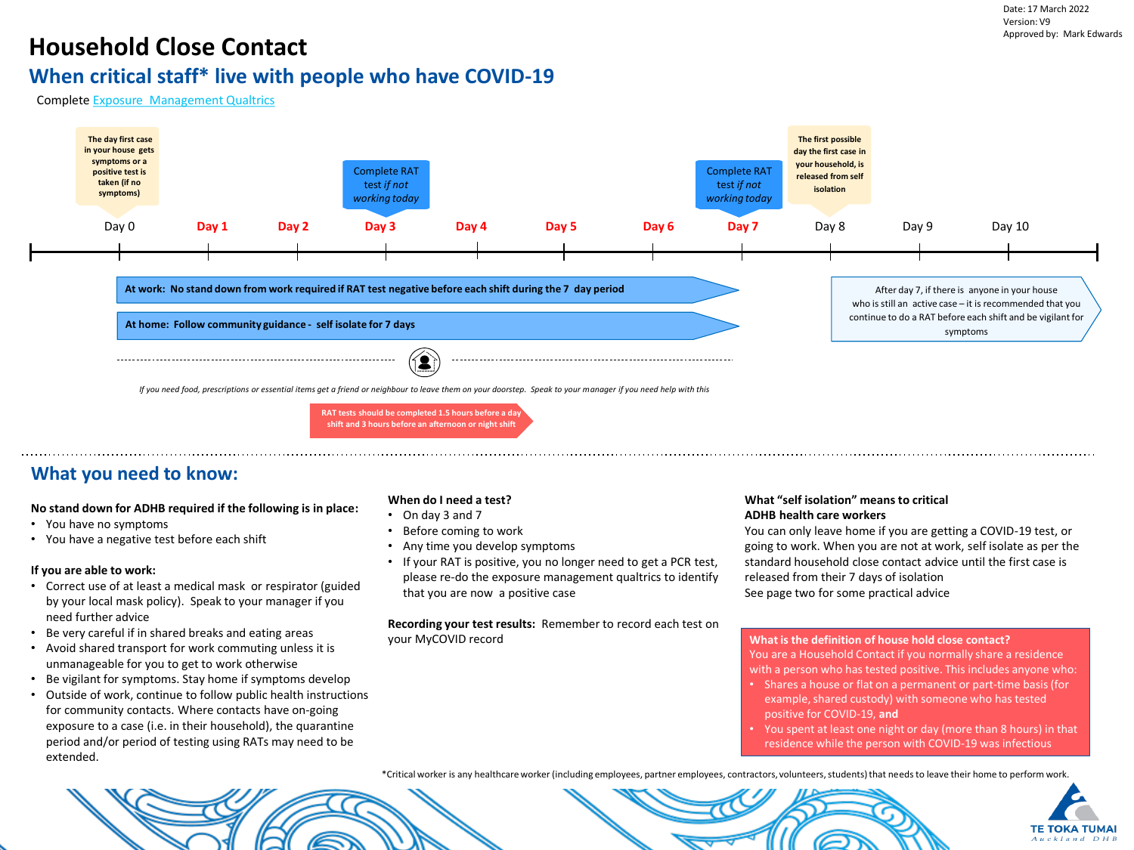## **Household Close Contact**

## **When critical staff\* live with people who have COVID-19**

Complete [Exposure Management Qualtrics](https://survey.adhb.govt.nz/jfe/form/SV_8BMcH3r10boDAlo)



### **What you need to know:**

### **No stand down for ADHB required if the following is in place:**

- You have no symptoms
- You have a negative test before each shift

### **If you are able to work:**

- Correct use of at least a medical mask or respirator (guided by your local mask policy). Speak to your manager if you need further advice
- Be very careful if in shared breaks and eating areas
- Avoid shared transport for work commuting unless it is unmanageable for you to get to work otherwise
- Be vigilant for symptoms. Stay home if symptoms develop
- Outside of work, continue to follow public health instructions for community contacts. Where contacts have on-going exposure to a case (i.e. in their household), the quarantine period and/or period of testing using RATs may need to be extended.

### **When do I need a test?**

- On day 3 and 7
- Before coming to work
- Any time you develop symptoms
- If your RAT is positive, you no longer need to get a PCR test, please re-do the exposure management qualtrics to identify that you are now a positive case

**Recording your test results:** Remember to record each test on your MyCOVID record

### **What "self isolation" means to critical ADHB health care workers**

You can only leave home if you are getting a COVID-19 test, or going to work. When you are not at work, self isolate as per the standard household close contact advice until the first case is released from their 7 days of isolation See page two for some practical advice

### **What is the definition of house hold close contact?**

You are a Household Contact if you normally share a residence with a person who has tested positive. This includes anyone who:

- Shares a house or flat on a permanent or part-time basis (for example, shared custody) with someone who has tested positive for COVID-19, **and**
- You spent at least one night or day (more than 8 hours) in that residence while the person with COVID-19 was infectious

\*Critical worker is any healthcare worker (including employees, partner employees, contractors, volunteers, students) that needsto leave their home to perform work.